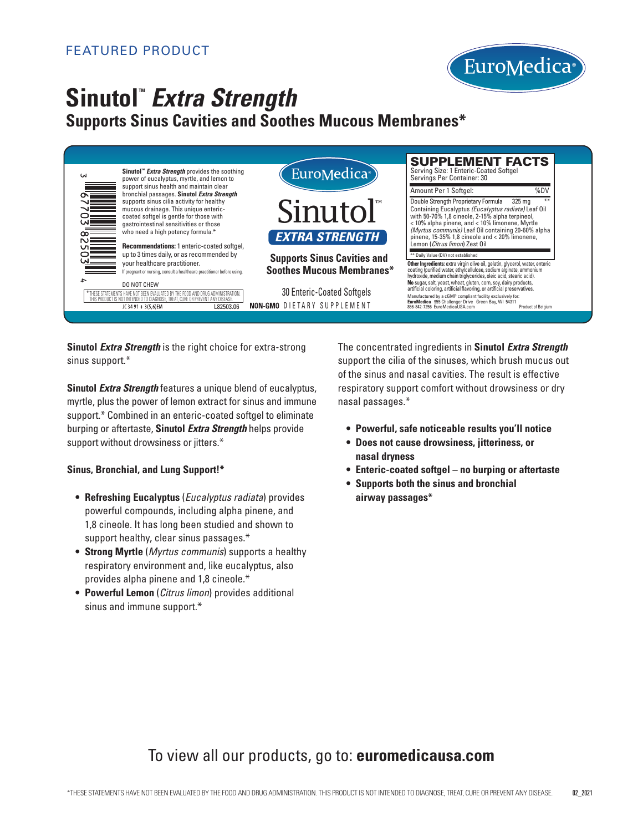

# **Sinutol**<sup>*Extra Strength*</sup>

### **Supports Sinus Cavities and Soothes Mucous Membranes\***

| Sinutol <sup>™</sup> Extra Strength provides the soothing<br>W<br>power of eucalyptus, myrtle, and lemon to                                                                                                                                                                                                                                                 | EuroMedica <sup>®</sup>                                                                                                                                | <b>SUPPLEMENT FACTS</b><br>Serving Size: 1 Enteric-Coated Softgel<br>Servings Per Container: 30                                                                                                                                                                                                                                                                                                                                                                                                                                                                                                   |
|-------------------------------------------------------------------------------------------------------------------------------------------------------------------------------------------------------------------------------------------------------------------------------------------------------------------------------------------------------------|--------------------------------------------------------------------------------------------------------------------------------------------------------|---------------------------------------------------------------------------------------------------------------------------------------------------------------------------------------------------------------------------------------------------------------------------------------------------------------------------------------------------------------------------------------------------------------------------------------------------------------------------------------------------------------------------------------------------------------------------------------------------|
| support sinus health and maintain clear<br>bronchial passages. Sinutol Extra Strength<br>supports sinus cilia activity for healthy<br>mucous drainage. This unique enteric-<br>coated softgel is gentle for those with<br>gastrointestinal sensitivities or those<br>who need a high potency formula.*<br>Recommendations: 1 enteric-coated softgel,        | Sinutol<br><b>EXTRA STRENGTH</b>                                                                                                                       | %DV<br>Amount Per 1 Softgel:<br>Double Strength Proprietary Formula<br>325 ma<br>Containing Eucalyptus (Eucalyptus radiata) Leaf Oil<br>with 50-70% 1,8 cineole, 2-15% alpha terpineol,<br><10% alpha pinene, and <10% limonene, Myrtle<br>(Myrtus communis) Leaf Oil containing 20-60% alpha<br>pinene, $15-35\%$ 1,8 cineole and $<$ 20% limonene,<br>Lemon (Citrus limon) Zest Oil                                                                                                                                                                                                             |
| up to 3 times daily, or as recommended by<br>your healthcare practitioner.<br>If pregnant or nursing, consult a healthcare practitioner before using.<br>DO NOT CHEW<br>THESE STATEMENTS HAVE NOT BEEN EVALUATED BY THE FOOD AND DRUG ADMINISTRATION<br>THIS PRODUCT IS NOT INTENDED TO DIAGNOSE. TREAT, CURE OR PREVENT ANY DISEASE<br>JC 34 91 + 3(5,6)EM | <b>Supports Sinus Cavities and</b><br><b>Soothes Mucous Membranes*</b><br>30 Enteric-Coated Softgels<br><b>NON-GMO DIETARY SUPPLEMENT</b><br>L82503.06 | ** Daily Value (DV) not established<br>Other Ingredients: extra virgin olive oil, gelatin, glycerol, water, enteric<br>coating (purified water, ethylcellulose, sodium alginate, ammonium<br>hydroxide, medium chain triglycerides, oleic acid, stearic acid).<br>No sugar, salt, yeast, wheat, gluten, corn, soy, dairy products,<br>artificial coloring, artificial flavoring, or artificial preservatives.<br>Manufactured by a cGMP compliant facility exclusively for:<br>EuroMedica 955 Challenger Drive Green Bay, WI 54311<br>866-842-7256 EuroMedicaUSA.com<br><b>Product of Belgium</b> |

**Sinutol** *Extra Strength* is the right choice for extra-strong sinus support.\*

**Sinutol** *Extra Strength* features a unique blend of eucalyptus, myrtle, plus the power of lemon extract for sinus and immune support.\* Combined in an enteric-coated softgel to eliminate burping or aftertaste, **Sinutol** *Extra Strength* helps provide support without drowsiness or jitters.\*

#### **Sinus, Bronchial, and Lung Support!\***

- **Refreshing Eucalyptus** (*Eucalyptus radiata*) provides powerful compounds, including alpha pinene, and 1,8 cineole. It has long been studied and shown to support healthy, clear sinus passages.\*
- **Strong Myrtle** (*Myrtus communis*) supports a healthy respiratory environment and, like eucalyptus, also provides alpha pinene and 1,8 cineole.\*
- **Powerful Lemon** (*Citrus limon*) provides additional sinus and immune support.\*

The concentrated ingredients in **Sinutol** *Extra Strength* support the cilia of the sinuses, which brush mucus out of the sinus and nasal cavities. The result is effective respiratory support comfort without drowsiness or dry nasal passages.\*

- **• Powerful, safe noticeable results you'll notice**
- **Does not cause drowsiness, jitteriness, or nasal dryness**
- **• Enteric-coated softgel no burping or aftertaste**
- **Supports both the sinus and bronchial airway passages\***

## To view all our products, go to: **euromedicausa.com**